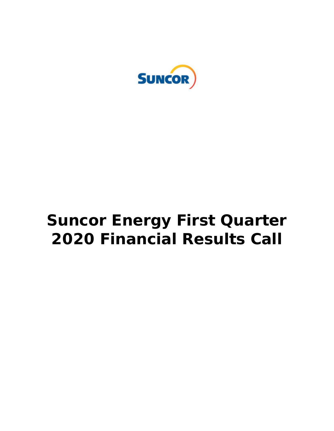

# **Suncor Energy First Quarter 2020 Financial Results Call**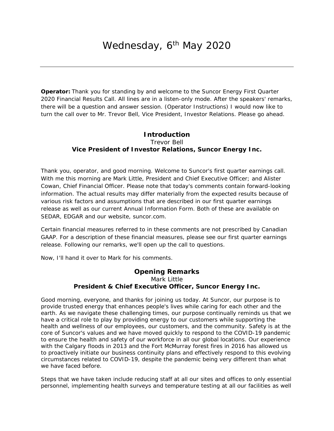**Operator:** Thank you for standing by and welcome to the Suncor Energy First Quarter 2020 Financial Results Call. All lines are in a listen-only mode. After the speakers' remarks, there will be a question and answer session. (Operator Instructions) I would now like to turn the call over to Mr. Trevor Bell, Vice President, Investor Relations. Please go ahead.

## **Introduction**  Trevor Bell *Vice President of Investor Relations, Suncor Energy Inc.*

Thank you, operator, and good morning. Welcome to Suncor's first quarter earnings call. With me this morning are Mark Little, President and Chief Executive Officer; and Alister Cowan, Chief Financial Officer. Please note that today's comments contain forward-looking information. The actual results may differ materially from the expected results because of various risk factors and assumptions that are described in our first quarter earnings release as well as our current Annual Information Form. Both of these are available on SEDAR, EDGAR and our website, [suncor.com.](https://suncor.com)

Certain financial measures referred to in these comments are not prescribed by Canadian GAAP. For a description of these financial measures, please see our first quarter earnings release. Following our remarks, we'll open up the call to questions.

Now, I'll hand it over to Mark for his comments.

#### **Opening Remarks**  Mark Little *President & Chief Executive Officer, Suncor Energy Inc.*

Good morning, everyone, and thanks for joining us today. At Suncor, our purpose is to provide trusted energy that enhances people's lives while caring for each other and the earth. As we navigate these challenging times, our purpose continually reminds us that we have a critical role to play by providing energy to our customers while supporting the health and wellness of our employees, our customers, and the community. Safety is at the core of Suncor's values and we have moved quickly to respond to the COVID-19 pandemic to ensure the health and safety of our workforce in all our global locations. Our experience with the Calgary floods in 2013 and the Fort McMurray forest fires in 2016 has allowed us to proactively initiate our business continuity plans and effectively respond to this evolving circumstances related to COVID-19, despite the pandemic being very different than what we have faced before.

Steps that we have taken include reducing staff at all our sites and offices to only essential personnel, implementing health surveys and temperature testing at all our facilities as well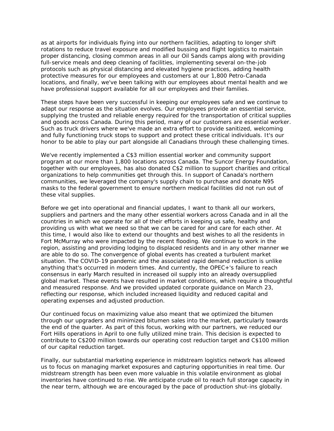as at airports for individuals flying into our northern facilities, adapting to longer shift rotations to reduce travel exposure and modified bussing and flight logistics to maintain proper distancing, closing common areas in all our Oil Sands camps along with providing full-service meals and deep cleaning of facilities, implementing several on-the-job protocols such as physical distancing and elevated hygiene practices, adding health protective measures for our employees and customers at our 1,800 Petro-Canada locations, and finally, we've been talking with our employees about mental health and we have professional support available for all our employees and their families.

These steps have been very successful in keeping our employees safe and we continue to adapt our response as the situation evolves. Our employees provide an essential service, supplying the trusted and reliable energy required for the transportation of critical supplies and goods across Canada. During this period, many of our customers are essential worker. Such as truck drivers where we've made an extra effort to provide sanitized, welcoming and fully functioning truck stops to support and protect these critical individuals. It's our honor to be able to play our part alongside all Canadians through these challenging times.

We've recently implemented a C\$3 million essential worker and community support program at our more than 1,800 locations across Canada. The Suncor Energy Foundation, together with our employees, has also donated C\$2 million to support charities and critical organizations to help communities get through this. In support of Canada's northern communities, we leveraged the company's supply chain to purchase and donate N95 masks to the federal government to ensure northern medical facilities did not run out of these vital supplies.

 Before we get into operational and financial updates, I want to thank all our workers, suppliers and partners and the many other essential workers across Canada and in all the countries in which we operate for all of their efforts in keeping us safe, healthy and providing us with what we need so that we can be cared for and care for each other. At this time, I would also like to extend our thoughts and best wishes to all the residents in Fort McMurray who were impacted by the recent flooding. We continue to work in the region, assisting and providing lodging to displaced residents and in any other manner we are able to do so. The convergence of global events has created a turbulent market situation. The COVID-19 pandemic and the associated rapid demand reduction is unlike anything that's occurred in modern times. And currently, the OPEC+'s failure to reach consensus in early March resulted in increased oil supply into an already oversupplied global market. These events have resulted in market conditions, which require a thoughtful and measured response. And we provided updated corporate guidance on March 23, reflecting our response, which included increased liquidity and reduced capital and operating expenses and adjusted production.

Our continued focus on maximizing value also meant that we optimized the bitumen through our upgraders and minimized bitumen sales into the market, particularly towards the end of the quarter. As part of this focus, working with our partners, we reduced our Fort Hills operations in April to one fully utilized mine train. This decision is expected to contribute to C\$200 million towards our operating cost reduction target and C\$100 million of our capital reduction target.

Finally, our substantial marketing experience in midstream logistics network has allowed us to focus on managing market exposures and capturing opportunities in real time. Our midstream strength has been even more valuable in this volatile environment as global inventories have continued to rise. We anticipate crude oil to reach full storage capacity in the near term, although we are encouraged by the pace of production shut-ins globally.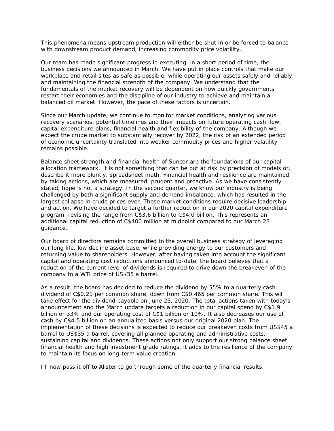This phenomena means upstream production will either be shut in or be forced to balance with downstream product demand, increasing commodity price volatility.

 fundamentals of the market recovery will be dependent on how quickly governments Our team has made significant progress in executing, in a short period of time, the business decisions we announced in March. We have put in place controls that make our workplace and retail sites as safe as possible, while operating our assets safely and reliably and maintaining the financial strength of the company. We understand that the restart their economies and the discipline of our industry to achieve and maintain a balanced oil market. However, the pace of these factors is uncertain.

Since our March update, we continue to monitor market conditions, analyzing various recovery scenarios, potential timelines and their impacts on future operating cash flow, capital expenditure plans, financial health and flexibility of the company. Although we expect the crude market to substantially recover by 2022, the risk of an extended period of economic uncertainty translated into weaker commodity prices and higher volatility remains possible.

 program, revising the range from C\$3.6 billion to C\$4.0 billion. This represents an Balance sheet strength and financial health of Suncor are the foundations of our capital allocation framework. It is not something that can be put at risk by precision of models or, describe it more bluntly, spreadsheet math. Financial health and resilience are maintained by taking actions, which are measured, prudent and proactive. As we have consistently stated, hope is not a strategy. In the second quarter, we know our industry is being challenged by both a significant supply and demand imbalance, which has resulted in the largest collapse in crude prices ever. These market conditions require decisive leadership and action. We have decided to target a further reduction in our 2020 capital expenditure additional capital reduction of C\$400 million at midpoint compared to our March 23 guidance.

Our board of directors remains committed to the overall business strategy of leveraging our long life, low decline asset base, while providing energy to our customers and returning value to shareholders. However, after having taken into account the significant capital and operating cost reductions announced to-date, the board believes that a reduction of the current level of dividends is required to drive down the breakeven of the company to a WTI price of US\$35 a barrel.

As a result, the board has decided to reduce the dividend by 55% to a quarterly cash dividend of C\$0.21 per common share, down from C\$0.465 per common share. This will take effect for the dividend payable on June 25, 2020. The total actions taken with today's announcement and the March update targets a reduction in our capital spend by C\$1.9 billion or 33% and our operating cost of C\$1 billion or 10%. It also decreases our use of cash by C\$4.5 billion on an annualized basis versus our original 2020 plan. The implementation of these decisions is expected to reduce our breakeven costs from US\$45 a barrel to US\$35 a barrel, covering all planned operating and administrative costs, sustaining capital and dividends. These actions not only support our strong balance sheet, financial health and high investment grade ratings, it adds to the resilience of the company to maintain its focus on long-term value creation.

I'll now pass it off to Alister to go through some of the quarterly financial results.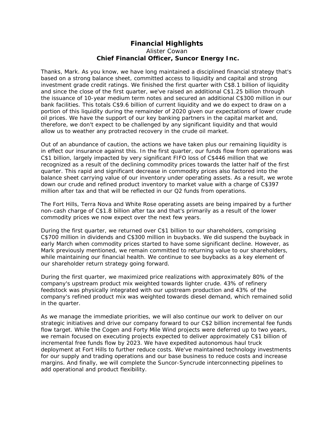### **Financial Highlights**  Alister Cowan  *Chief Financial Officer, Suncor Energy Inc.*

 investment grade credit ratings. We finished the first quarter with C\$8.1 billion of liquidity Thanks, Mark. As you know, we have long maintained a disciplined financial strategy that's based on a strong balance sheet, committed access to liquidity and capital and strong and since the close of the first quarter, we've raised an additional C\$1.25 billion through the issuance of 10-year medium term notes and secured an additional C\$300 million in our bank facilities. This totals C\$9.6 billion of current liquidity and we do expect to draw on a portion of this liquidity during the remainder of 2020 given our expectations of lower crude oil prices. We have the support of our key banking partners in the capital market and, therefore, we don't expect to be challenged by any significant liquidity and that would allow us to weather any protracted recovery in the crude oil market.

Out of an abundance of caution, the actions we have taken plus our remaining liquidity is in effect our insurance against this. In the first quarter, our funds flow from operations was C\$1 billion, largely impacted by very significant FIFO loss of C\$446 million that we recognized as a result of the declining commodity prices towards the latter half of the first quarter. This rapid and significant decrease in commodity prices also factored into the balance sheet carrying value of our inventory under operating assets. As a result, we wrote down our crude and refined product inventory to market value with a charge of C\$397 million after tax and that will be reflected in our Q2 funds from operations.

The Fort Hills, Terra Nova and White Rose operating assets are being impaired by a further non-cash charge of C\$1.8 billion after tax and that's primarily as a result of the lower commodity prices we now expect over the next few years.

During the first quarter, we returned over C\$1 billion to our shareholders, comprising C\$700 million in dividends and C\$300 million in buybacks. We did suspend the buyback in early March when commodity prices started to have some significant decline. However, as Mark previously mentioned, we remain committed to returning value to our shareholders, while maintaining our financial health. We continue to see buybacks as a key element of our shareholder return strategy going forward.

During the first quarter, we maximized price realizations with approximately 80% of the company's upstream product mix weighted towards lighter crude. 43% of refinery feedstock was physically integrated with our upstream production and 43% of the company's refined product mix was weighted towards diesel demand, which remained solid in the quarter.

 add operational and product flexibility. As we manage the immediate priorities, we will also continue our work to deliver on our strategic initiatives and drive our company forward to our C\$2 billion incremental fee funds flow target. While the Cogen and Forty Mile Wind projects were deferred up to two years, we remain focused on executing projects expected to deliver approximately C\$1 billion of incremental free funds flow by 2023. We have expedited autonomous haul truck deployment at Fort Hills to further reduce costs. We've maintained technology investments for our supply and trading operations and our base business to reduce costs and increase margins. And finally, we will complete the Suncor-Syncrude interconnecting pipelines to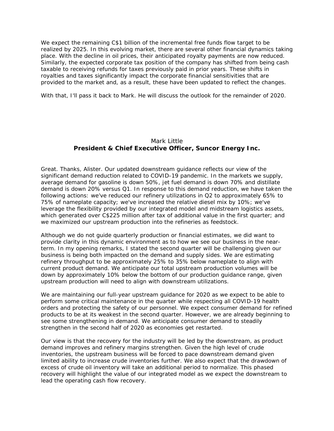We expect the remaining C\$1 billion of the incremental free funds flow target to be realized by 2025. In this evolving market, there are several other financial dynamics taking place. With the decline in oil prices, their anticipated royalty payments are now reduced. Similarly, the expected corporate tax position of the company has shifted from being cash taxable to receiving refunds for taxes previously paid in prior years. These shifts in royalties and taxes significantly impact the corporate financial sensitivities that are provided to the market and, as a result, these have been updated to reflect the changes.

With that, I'll pass it back to Mark. He will discuss the outlook for the remainder of 2020.

#### Mark Little *President & Chief Executive Officer, Suncor Energy Inc.*

Great. Thanks, Alister. Our updated downstream guidance reflects our view of the significant demand reduction related to COVID-19 pandemic. In the markets we supply, average demand for gasoline is down 50%, jet fuel demand is down 70% and distillate demand is down 20% versus Q1. In response to this demand reduction, we have taken the following actions: we've reduced our refinery utilizations in Q2 to approximately 65% to 75% of nameplate capacity; we've increased the relative diesel mix by 10%; we've leverage the flexibility provided by our integrated model and midstream logistics assets, which generated over C\$225 million after tax of additional value in the first quarter; and we maximized our upstream production into the refineries as feedstock.

Although we do not guide quarterly production or financial estimates, we did want to provide clarity in this dynamic environment as to how we see our business in the nearterm. In my opening remarks, I stated the second quarter will be challenging given our business is being both impacted on the demand and supply sides. We are estimating refinery throughput to be approximately 25% to 35% below nameplate to align with current product demand. We anticipate our total upstream production volumes will be down by approximately 10% below the bottom of our production guidance range, given upstream production will need to align with downstream utilizations.

We are maintaining our full-year upstream guidance for 2020 as we expect to be able to perform some critical maintenance in the quarter while respecting all COVID-19 health orders and protecting the safety of our personnel. We expect consumer demand for refined products to be at its weakest in the second quarter. However, we are already beginning to see some strengthening in demand. We anticipate consumer demand to steadily strengthen in the second half of 2020 as economies get restarted.

Our view is that the recovery for the industry will be led by the downstream, as product demand improves and refinery margins strengthen. Given the high level of crude inventories, the upstream business will be forced to pace downstream demand given limited ability to increase crude inventories further. We also expect that the drawdown of excess of crude oil inventory will take an additional period to normalize. This phased recovery will highlight the value of our integrated model as we expect the downstream to lead the operating cash flow recovery.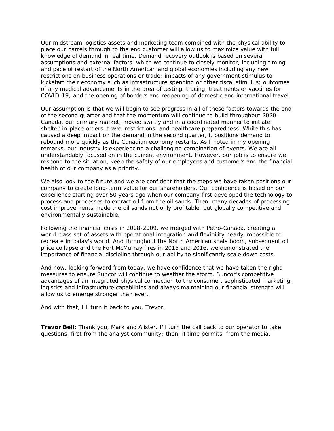and pace of restart of the North American and global economies including any new Our midstream logistics assets and marketing team combined with the physical ability to place our barrels through to the end customer will allow us to maximize value with full knowledge of demand in real time. Demand recovery outlook is based on several assumptions and external factors, which we continue to closely monitor, including timing restrictions on business operations or trade; impacts of any government stimulus to kickstart their economy such as infrastructure spending or other fiscal stimulus; outcomes of any medical advancements in the area of testing, tracing, treatments or vaccines for COVID-19; and the opening of borders and reopening of domestic and international travel.

Our assumption is that we will begin to see progress in all of these factors towards the end of the second quarter and that the momentum will continue to build throughout 2020. Canada, our primary market, moved swiftly and in a coordinated manner to initiate shelter-in-place orders, travel restrictions, and healthcare preparedness. While this has caused a deep impact on the demand in the second quarter, it positions demand to rebound more quickly as the Canadian economy restarts. As I noted in my opening remarks, our industry is experiencing a challenging combination of events. We are all understandably focused on in the current environment. However, our job is to ensure we respond to the situation, keep the safety of our employees and customers and the financial health of our company as a priority.

We also look to the future and we are confident that the steps we have taken positions our company to create long-term value for our shareholders. Our confidence is based on our experience starting over 50 years ago when our company first developed the technology to process and processes to extract oil from the oil sands. Then, many decades of processing cost improvements made the oil sands not only profitable, but globally competitive and environmentally sustainable.

Following the financial crisis in 2008-2009, we merged with Petro-Canada, creating a world-class set of assets with operational integration and flexibility nearly impossible to recreate in today's world. And throughout the North American shale boom, subsequent oil price collapse and the Fort McMurray fires in 2015 and 2016, we demonstrated the importance of financial discipline through our ability to significantly scale down costs.

 And now, looking forward from today, we have confidence that we have taken the right logistics and infrastructure capabilities and always maintaining our financial strength will measures to ensure Suncor will continue to weather the storm. Suncor's competitive advantages of an integrated physical connection to the consumer, sophisticated marketing, allow us to emerge stronger than ever.

And with that, I'll turn it back to you, Trevor.

 **Trevor Bell:** Thank you, Mark and Alister. I'll turn the call back to our operator to take questions, first from the analyst community; then, if time permits, from the media.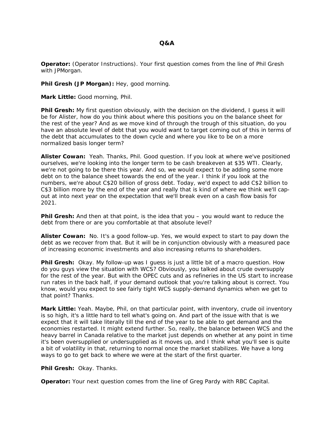**Operator:** (Operator Instructions). Your first question comes from the line of Phil Gresh with JPMorgan.

**Phil Gresh (JP Morgan):** Hey, good morning.

**Mark Little:** Good morning, Phil.

 **Phil Gresh:** My first question obviously, with the decision on the dividend, I guess it will be for Alister, how do you think about where this positions you on the balance sheet for the rest of the year? And as we move kind of through the trough of this situation, do you have an absolute level of debt that you would want to target coming out of this in terms of the debt that accumulates to the down cycle and where you like to be on a more normalized basis longer term?

 **Alister Cowan:** Yeah. Thanks, Phil. Good question. If you look at where we've positioned ourselves, we're looking into the longer term to be cash breakeven at \$35 WTI. Clearly, we're not going to be there this year. And so, we would expect to be adding some more debt on to the balance sheet towards the end of the year. I think if you look at the numbers, we're about C\$20 billion of gross debt. Today, we'd expect to add C\$2 billion to C\$3 billion more by the end of the year and really that is kind of where we think we'll capout at into next year on the expectation that we'll break even on a cash flow basis for 2021.

**Phil Gresh:** And then at that point, is the idea that you – you would want to reduce the debt from there or are you comfortable at that absolute level?

 **Alister Cowan:** No. It's a good follow-up. Yes, we would expect to start to pay down the debt as we recover from that. But it will be in conjunction obviously with a measured pace of increasing economic investments and also increasing returns to shareholders.

**Phil Gresh:** Okay. My follow-up was I quess is just a little bit of a macro question. How do you guys view the situation with WCS? Obviously, you talked about crude oversupply for the rest of the year. But with the OPEC cuts and as refineries in the US start to increase run rates in the back half, if your demand outlook that you're talking about is correct. You know, would you expect to see fairly tight WCS supply-demand dynamics when we get to that point? Thanks.

**Mark Little:** Yeah. Maybe, Phil, on that particular point, with inventory, crude oil inventory is so high, it's a little hard to tell what's going on. And part of the issue with that is we expect that it will take literally till the end of the year to be able to get demand and the economies restarted. It might extend further. So, really, the balance between WCS and the heavy barrel in Canada relative to the market just depends on whether at any point in time it's been oversupplied or undersupplied as it moves up, and I think what you'll see is quite a bit of volatility in that, returning to normal once the market stabilizes. We have a long ways to go to get back to where we were at the start of the first quarter.

**Phil Gresh:** Okay. Thanks.

**Operator:** Your next question comes from the line of Greg Pardy with RBC Capital.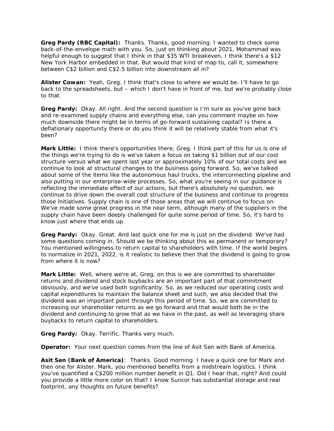**Greg Pardy (RBC Capital):** Thanks. Thanks, good morning. I wanted to check some back-of-the-envelope math with you. So, just on thinking about 2021, Mohammad was helpful enough to suggest that I think in that \$35 WTI breakeven, I think there's a \$12 New York Harbor embedded in that. But would that kind of map to, call it, somewhere between C\$2 billion and C\$2.5 billion into downstream all in?

 **Alister Cowan:** Yeah, Greg. I think that's close to where we would be. I'll have to go back to the spreadsheets, but – which I don't have in front of me, but we're probably close to that.

**Greg Pardy:** Okay. All right. And the second question is I'm sure as you've gone back and re-examined supply chains and everything else, can you comment maybe on how much downside there might be in terms of go-forward sustaining capital? Is there a deflationary opportunity there or do you think it will be relatively stable from what it's been?

 reflecting the immediate effect of our actions, but there's absolutely no question, we those initiatives. Supply chain is one of those areas that we will continue to focus on. **Mark Little:** I think there's opportunities there, Greg. I think part of this for us is one of the things we're trying to do is we've taken a focus on taking \$1 billion out of our cost structure versus what we spent last year or approximately 10% of our total costs and we continue to look at structural changes to the business going forward. So, we've talked about some of the items like the autonomous haul trucks, the interconnecting pipeline and also putting in our enterprise-wide processes. So, what you're seeing in our guidance is continue to drive down the overall cost structure of the business and continue to progress We've made some great progress in the near term, although many of the suppliers in the supply chain have been deeply challenged for quite some period of time. So, it's hard to know just where that ends up.

**Greg Pardy:** Okay. Great. And last quick one for me is just on the dividend. We've had some questions coming in. Should we be thinking about this as permanent or temporary? You mentioned willingness to return capital to shareholders with time. If the world begins to normalize in 2021, 2022, is it realistic to believe then that the dividend is going to grow from where it is now?

**Mark Little:** Well, where we're at, Greg, on this is we are committed to shareholder returns and dividend and stock buybacks are an important part of that commitment obviously, and we've used both significantly. So, as we reduced our operating costs and capital expenditures to maintain the balance sheet and such, we also decided that the dividend was an important point through this period of time. So, we are committed to increasing our shareholder returns as we go forward and that would both be in the dividend and continuing to grow that as we have in the past, as well as leveraging share buybacks to return capital to shareholders.

**Greg Pardy:** Okay. Terrific. Thanks very much.

**Operator:** Your next question comes from the line of Asit Sen with Bank of America.

 **Asit Sen (Bank of America)**: Thanks. Good morning. I have a quick one for Mark and then one for Alister. Mark, you mentioned benefits from a midstream logistics. I think you've quantified a C\$200 million number benefit in Q1. Did I hear that, right? And could you provide a little more color on that? I know Suncor has substantial storage and real footprint, any thoughts on future benefits?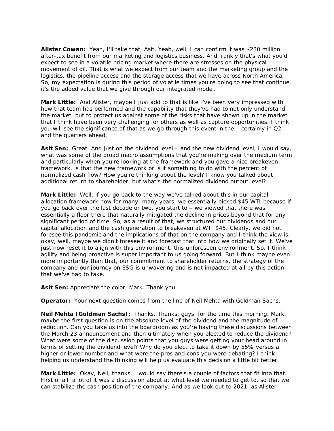**Alister Cowan:** Yeah, I'll take that, Asit. Yeah, well, I can confirm it was \$230 million after-tax benefit from our marketing and logistics business. And frankly that's what you'd expect to see in a volatile pricing market where there are stresses on the physical movement of oil. That is what we expect from our team and the marketing group and the logistics, the pipeline access and the storage access that we have across North America. So, my expectation is during this period of volatile times you're going to see that continue, it's the added value that we give through our integrated model.

**Mark Little:** And Alister, maybe I just add to that is like I've been very impressed with how that team has performed and the capability that they've had to not only understand the market, but to protect us against some of the risks that have shown up in the market that I think have been very challenging for others as well as capture opportunities. I think you will see the significance of that as we go through this event in the – certainly in Q2 and the quarters ahead.

**Asit Sen:** Great. And just on the dividend level – and the new dividend level, I would say, what was some of the broad macro assumptions that you're making over the medium term and particularly when you're looking at the framework and you gave a nice breakeven framework, is that the new framework or is it something to do with the percent of normalized cash flow? How you're thinking about the level? I know you talked about additional return to shareholder, but what's the normalized dividend output level?

**Mark Little:** Well, if you go back to the way we've talked about this in our capital allocation framework now for many, many years, we essentially picked \$45 WTI because if you go back over the last decade or two, you start to – we viewed that there was essentially a floor there that naturally mitigated the decline in prices beyond that for any significant period of time. So, as a result of that, we structured our dividends and our capital allocation and the cash generation to breakeven at WTI \$45. Clearly, we did not foresee this pandemic and the implications of that on the company and I think the view is, okay, well, maybe we didn't foresee it and forecast that into how we originally set it. We've just now reset it to align with this environment, this unforeseen environment. So, I think agility and being proactive is super important to us going forward. But I think maybe even more importantly than that, our commitment to shareholder returns, the strategy of the company and our journey on ESG is unwavering and is not impacted at all by this action that we've had to take.

**Asit Sen:** Appreciate the color, Mark. Thank you.

**Operator:** Your next question comes from the line of Neil Mehta with Goldman Sachs.

**Neil Mehta (Goldman Sachs):** Thanks. Thanks, guys, for the time this morning. Mark, maybe the first question is on the absolute level of the dividend and the magnitude of reduction. Can you take us into the boardroom as you're having these discussions between the March 23 announcement and then ultimately when you elected to reduce the dividend? What were some of the discussion points that you guys were getting your head around in terms of setting the dividend level? Why do you elect to take it down by 55% versus a higher or lower number and what were the pros and cons you were debating? I think helping us understand the thinking will help us evaluate this decision a little bit better.

**Mark Little:** Okay, Neil, thanks. I would say there's a couple of factors that fit into that. First of all, a lot of it was a discussion about at what level we needed to get to, so that we can stabilize the cash position of the company. And as we look out to 2021, as Alister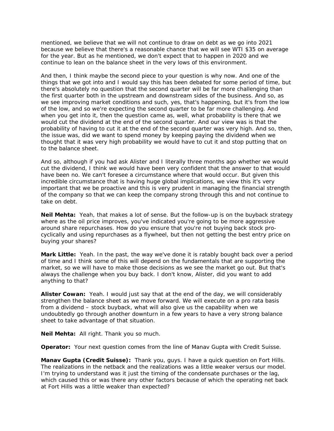mentioned, we believe that we will not continue to draw on debt as we go into 2021 because we believe that there's a reasonable chance that we will see WTI \$35 on average for the year. But as he mentioned, we don't expect that to happen in 2020 and we continue to lean on the balance sheet in the very lows of this environment.

And then, I think maybe the second piece to your question is why now. And one of the things that we got into and I would say this has been debated for some period of time, but there's absolutely no question that the second quarter will be far more challenging than the first quarter both in the upstream and downstream sides of the business. And so, as we see improving market conditions and such, yes, that's happening, but it's from the low of the low, and so we're expecting the second quarter to be far more challenging. And when you get into it, then the question came as, well, what probability is there that we would cut the dividend at the end of the second quarter. And our view was is that the probability of having to cut it at the end of the second quarter was very high. And so, then, the issue was, did we want to spend money by keeping paying the dividend when we thought that it was very high probability we would have to cut it and stop putting that on to the balance sheet.

 incredible circumstance that is having huge global implications, we view this it's very And so, although if you had ask Alister and I literally three months ago whether we would cut the dividend, I think we would have been very confident that the answer to that would have been no. We can't foresee a circumstance where that would occur. But given this important that we be proactive and this is very prudent in managing the financial strength of the company so that we can keep the company strong through this and not continue to take on debt.

 buying your shares? **Neil Mehta:** Yeah, that makes a lot of sense. But the follow-up is on the buyback strategy where as the oil price improves, you've indicated you're going to be more aggressive around share repurchases. How do you ensure that you're not buying back stock procyclically and using repurchases as a flywheel, but then not getting the best entry price on

 anything to that? **Mark Little:** Yeah. In the past, the way we've done it is ratably bought back over a period of time and I think some of this will depend on the fundamentals that are supporting the market, so we will have to make those decisions as we see the market go out. But that's always the challenge when you buy back. I don't know, Alister, did you want to add

 **Alister Cowan:** Yeah. I would just say that at the end of the day, we will considerably strengthen the balance sheet as we move forward. We will execute on a pro rata basis from a dividend – stock buyback, what will also give us the capability when we undoubtedly go through another downturn in a few years to have a very strong balance sheet to take advantage of that situation.

**Neil Mehta:** All right. Thank you so much.

**Operator:** Your next question comes from the line of Manav Gupta with Credit Suisse.

 **Manav Gupta (Credit Suisse):** Thank you, guys. I have a quick question on Fort Hills. The realizations in the netback and the realizations was a little weaker versus our model. I'm trying to understand was it just the timing of the condensate purchases or the lag, which caused this or was there any other factors because of which the operating net back at Fort Hills was a little weaker than expected?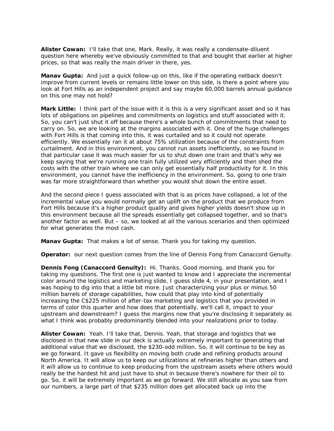**Alister Cowan:** I'll take that one, Mark. Really, it was really a condensate-diluent question here whereby we've obviously committed to that and bought that earlier at higher prices, so that was really the main driver in there, yes.

**Manav Gupta:** And just a quick follow-up on this, like if the operating netback doesn't improve from current levels or remains little lower on this side, is there a point where you look at Fort Hills as an independent project and say maybe 60,000 barrels annual guidance on this one may not hold?

**Mark Little:** I think part of the issue with it is this is a very significant asset and so it has lots of obligations on pipelines and commitments on logistics and stuff associated with it. So, you can't just shut it off because there's a whole bunch of commitments that need to carry on. So, we are looking at the margins associated with it. One of the huge challenges with Fort Hills is that coming into this, it was curtailed and so it could not operate efficiently. We essentially ran it at about 75% utilization because of the constraints from curtailment. And in this environment, you cannot run assets inefficiently, so we found in that particular case it was much easier for us to shut down one train and that's why we keep saying that we're running one train fully utilized very efficiently and then shed the costs with the other train where we can only get essentially half productivity for it. In this environment, you cannot have the inefficiency in the environment. So, going to one train was far more straightforward than whether you would shut down the entire asset.

 Fort Hills because it's a higher product quality and gives higher yields doesn't show up in And the second piece I guess associated with that is as prices have collapsed, a lot of the incremental value you would normally get an uplift on the product that we produce from this environment because all the spreads essentially get collapsed together, and so that's another factor as well. But – so, we looked at all the various scenarios and then optimized for what generates the most cash.

**Manav Gupta:** That makes a lot of sense. Thank you for taking my question.

**Operator:** our next question comes from the line of Dennis Fong from Canaccord Genuity.

 **Dennis Fong (Canaccord Genuity):** Hi. Thanks. Good morning, and thank you for taking my questions. The first one is just wanted to know and I appreciate the incremental color around the logistics and marketing slide, I guess slide 4, in your presentation, and I was hoping to dig into that a little bit more. Just characterizing your plus or minus 50 million barrels of storage capabilities, how could that play into kind of potentially increasing the C\$225 million of after-tax marketing and logistics that you provided in terms of color this quarter and how does that potentially, we'll call it, impact to your upstream and downstream? I guess the margins now that you're disclosing it separately as what I think was probably predominantly blended into your realizations prior to today.

 **Alister Cowan:** Yeah. I'll take that, Dennis. Yeah, that storage and logistics that we disclosed in that new slide in our deck is actually extremely important to generating that additional value that we disclosed, the \$230-odd million. So, it will continue to be key as we go forward. It gave us flexibility on moving both crude and refining products around North America. It will allow us to keep our utilizations at refineries higher than others and it will allow us to continue to keep producing from the upstream assets where others would really be the hardest hit and just have to shut in because there's nowhere for their oil to go. So, it will be extremely important as we go forward. We still allocate as you saw from our numbers, a large part of that \$235 million does get allocated back up into the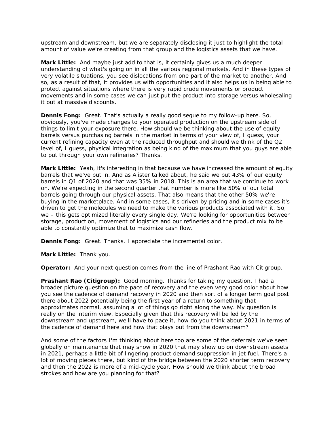upstream and downstream, but we are separately disclosing it just to highlight the total amount of value we're creating from that group and the logistics assets that we have.

**Mark Little:** And maybe just add to that is, it certainly gives us a much deeper understanding of what's going on in all the various regional markets. And in these types of very volatile situations, you see dislocations from one part of the market to another. And so, as a result of that, it provides us with opportunities and it also helps us in being able to protect against situations where there is very rapid crude movements or product movements and in some cases we can just put the product into storage versus wholesaling it out at massive discounts.

 **Dennis Fong:** Great. That's actually a really good segue to my follow-up here. So, level of, I guess, physical integration as being kind of the maximum that you guys are able obviously, you've made changes to your operated production on the upstream side of things to limit your exposure there. How should we be thinking about the use of equity barrels versus purchasing barrels in the market in terms of your view of, I guess, your current refining capacity even at the reduced throughput and should we think of the Q2 to put through your own refineries? Thanks.

**Mark Little:** Yeah, it's interesting in that because we have increased the amount of equity barrels that we've put in. And as Alister talked about, he said we put 43% of our equity barrels in Q1 of 2020 and that was 35% in 2018. This is an area that we continue to work on. We're expecting in the second quarter that number is more like 50% of our total barrels going through our physical assets. That also means that the other 50% we're buying in the marketplace. And in some cases, it's driven by pricing and in some cases it's driven to get the molecules we need to make the various products associated with it. So, we – this gets optimized literally every single day. We're looking for opportunities between storage, production, movement of logistics and our refineries and the product mix to be able to constantly optimize that to maximize cash flow.

**Dennis Fong:** Great. Thanks. I appreciate the incremental color.

**Mark Little:** Thank you.

**Operator:** And your next question comes from the line of Prashant Rao with Citigroup.

**Prashant Rao (Citigroup):** Good morning. Thanks for taking my question. I had a broader picture question on the pace of recovery and the even very good color about how you see the cadence of demand recovery in 2020 and then sort of a longer term goal post there about 2022 potentially being the first year of a return to something that approximates normal, assuming a lot of things go right along the way. My question is really on the interim view. Especially given that this recovery will be led by the downstream and upstream, we'll have to pace it, how do you think about 2021 in terms of the cadence of demand here and how that plays out from the downstream?

And some of the factors I'm thinking about here too are some of the deferrals we've seen globally on maintenance that may show in 2020 that may show up on downstream assets in 2021, perhaps a little bit of lingering product demand suppression in jet fuel. There's a lot of moving pieces there, but kind of the bridge between the 2020 shorter term recovery and then the 2022 is more of a mid-cycle year. How should we think about the broad strokes and how are you planning for that?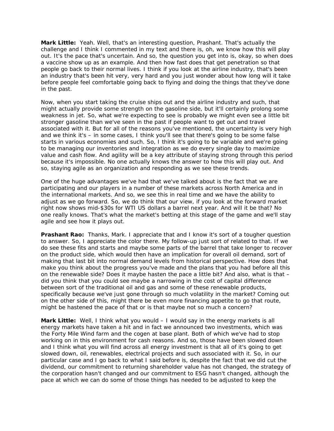challenge and I think I commented in my text and there is, oh, we know how this will play **Mark Little:** Yeah. Well, that's an interesting question, Prashant. That's actually the out. It's the pace that's uncertain. And so, the question you get into is, okay, so when does a vaccine show up as an example. And then how fast does that get penetration so that people go back to their normal lives. I think if you look at the airline industry, that's been an industry that's been hit very, very hard and you just wonder about how long will it take before people feel comfortable going back to flying and doing the things that they've done in the past.

 because it's impossible. No one actually knows the answer to how this will play out. And Now, when you start taking the cruise ships out and the airline industry and such, that might actually provide some strength on the gasoline side, but it'll certainly prolong some weakness in jet. So, what we're expecting to see is probably we might even see a little bit stronger gasoline than we've seen in the past if people want to get out and travel associated with it. But for all of the reasons you've mentioned, the uncertainty is very high and we think it's – in some cases, I think you'll see that there's going to be some false starts in various economies and such. So, I think it's going to be variable and we're going to be managing our inventories and integration as we do every single day to maximize value and cash flow. And agility will be a key attribute of staying strong through this period so, staying agile as an organization and responding as we see these trends.

One of the huge advantages we've had that we've talked about is the fact that we are participating and our players in a number of these markets across North America and in the international markets. And so, we see this in real time and we have the ability to adjust as we go forward. So, we do think that our view, if you look at the forward market right now shows mid-\$30s for WTI US dollars a barrel next year. And will it be that? No one really knows. That's what the market's betting at this stage of the game and we'll stay agile and see how it plays out.

**Prashant Rao:** Thanks, Mark. I appreciate that and I know it's sort of a tougher question to answer. So, I appreciate the color there. My follow-up just sort of related to that. If we do see these fits and starts and maybe some parts of the barrel that take longer to recover on the product side, which would then have an implication for overall oil demand, sort of making that last bit into normal demand levels from historical perspective. How does that make you think about the progress you've made and the plans that you had before all this on the renewable side? Does it maybe hasten the pace a little bit? And also, what is that – did you think that you could see maybe a narrowing in the cost of capital difference between sort of the traditional oil and gas and some of these renewable products, specifically because we've just gone through so much volatility in the market? Coming out on the other side of this, might there be even more financing appetite to go that route, might be hastened the pace of that or is that maybe not so much a concern?

 **Mark Little:** Well, I think what you would – I would say in the energy markets is all energy markets have taken a hit and in fact we announced two investments, which was the Forty Mile Wind farm and the cogen at base plant. Both of which we've had to stop working on in this environment for cash reasons. And so, those have been slowed down and I think what you will find across all energy investment is that all of it's going to get slowed down, oil, renewables, electrical projects and such associated with it. So, in our particular case and I go back to what I said before is, despite the fact that we did cut the dividend, our commitment to returning shareholder value has not changed, the strategy of the corporation hasn't changed and our commitment to ESG hasn't changed, although the pace at which we can do some of those things has needed to be adjusted to keep the